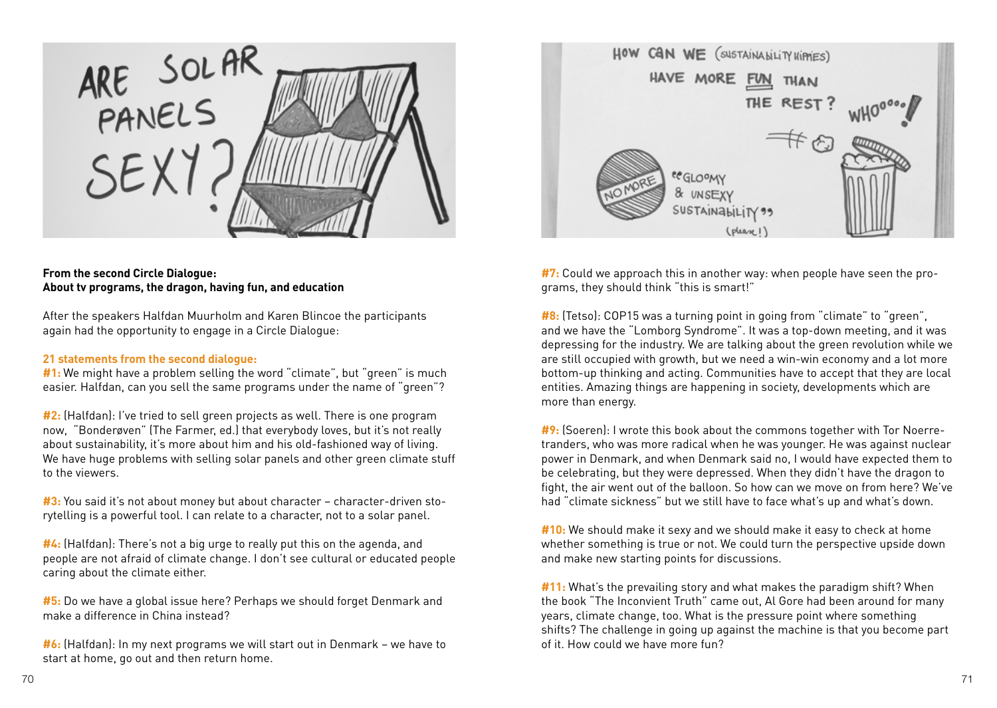

## **From the second Circle Dialogue: About tv programs, the dragon, having fun, and education**

After the speakers Halfdan Muurholm and Karen Blincoe the participants again had the opportunity to engage in a Circle Dialogue:

## **21 statements from the second dialogue:**

**#1:** We might have a problem selling the word "climate", but "green" is much easier. Halfdan, can you sell the same programs under the name of "green"?

**#2:** (Halfdan): I've tried to sell green projects as well. There is one program now, "Bonderøven" (The Farmer, ed.) that everybody loves, but it's not really about sustainability, it's more about him and his old-fashioned way of living. We have huge problems with selling solar panels and other green climate stuff to the viewers.

**#3:** You said it's not about money but about character – character-driven storytelling is a powerful tool. I can relate to a character, not to a solar panel.

**#4:** (Halfdan): There's not a big urge to really put this on the agenda, and people are not afraid of climate change. I don't see cultural or educated people caring about the climate either.

**#5:** Do we have a global issue here? Perhaps we should forget Denmark and make a difference in China instead?

**#6:** (Halfdan): In my next programs we will start out in Denmark – we have to start at home, go out and then return home.



**#7:** Could we approach this in another way: when people have seen the programs, they should think "this is smart!"

**#8:** (Tetso): COP15 was a turning point in going from "climate" to "green", and we have the "Lomborg Syndrome". It was a top-down meeting, and it was depressing for the industry. We are talking about the green revolution while we are still occupied with growth, but we need a win-win economy and a lot more bottom-up thinking and acting. Communities have to accept that they are local entities. Amazing things are happening in society, developments which are more than energy.

**#9:** (Soeren): I wrote this book about the commons together with Tor Noerretranders, who was more radical when he was younger. He was against nuclear power in Denmark, and when Denmark said no, I would have expected them to be celebrating, but they were depressed. When they didn't have the dragon to fight, the air went out of the balloon. So how can we move on from here? We've had "climate sickness" but we still have to face what's up and what's down.

**#10:** We should make it sexy and we should make it easy to check at home whether something is true or not. We could turn the perspective upside down and make new starting points for discussions.

**#11:** What's the prevailing story and what makes the paradigm shift? When the book "The Inconvient Truth" came out, Al Gore had been around for many years, climate change, too. What is the pressure point where something shifts? The challenge in going up against the machine is that you become part of it. How could we have more fun?